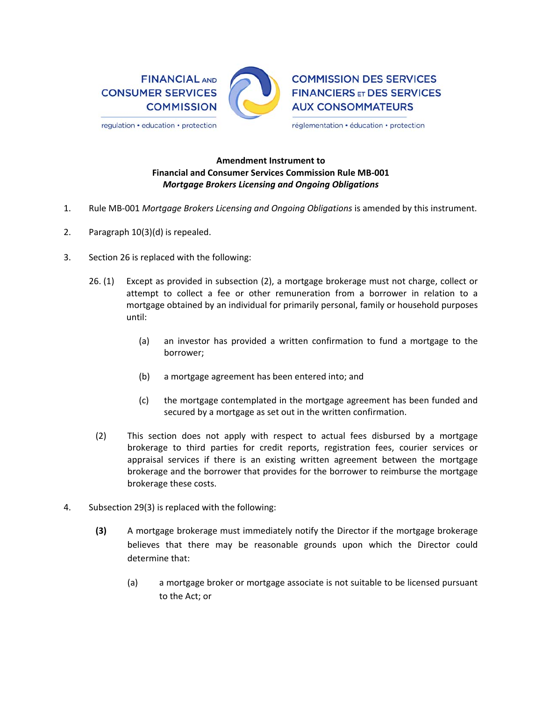

## **Amendment Instrument to Financial and Consumer Services Commission Rule MB‐001**  *Mortgage Brokers Licensing and Ongoing Obligations*

- 1. Rule MB‐001 *Mortgage Brokers Licensing and Ongoing Obligations* is amended by this instrument.
- 2. Paragraph 10(3)(d) is repealed.
- 3. Section 26 is replaced with the following:
	- 26. (1) Except as provided in subsection (2), a mortgage brokerage must not charge, collect or attempt to collect a fee or other remuneration from a borrower in relation to a mortgage obtained by an individual for primarily personal, family or household purposes until:
		- (a) an investor has provided a written confirmation to fund a mortgage to the borrower;
		- (b) a mortgage agreement has been entered into; and
		- (c) the mortgage contemplated in the mortgage agreement has been funded and secured by a mortgage as set out in the written confirmation.
		- (2) This section does not apply with respect to actual fees disbursed by a mortgage brokerage to third parties for credit reports, registration fees, courier services or appraisal services if there is an existing written agreement between the mortgage brokerage and the borrower that provides for the borrower to reimburse the mortgage brokerage these costs.
- 4. Subsection 29(3) is replaced with the following:
	- **(3)** A mortgage brokerage must immediately notify the Director if the mortgage brokerage believes that there may be reasonable grounds upon which the Director could determine that:
		- (a) a mortgage broker or mortgage associate is not suitable to be licensed pursuant to the Act; or